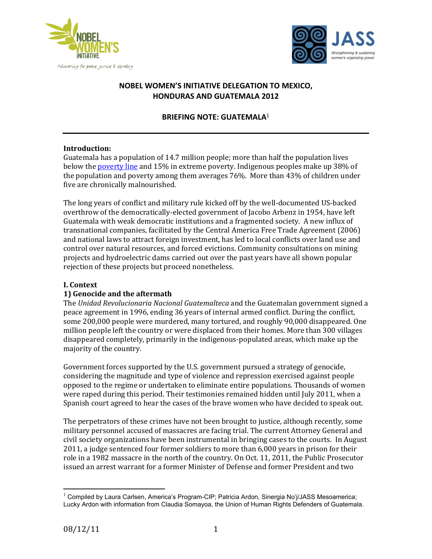



# **NOBEL WOMEN'S INITIATIVE DELEGATION TO MEXICO, HONDURAS&AND&GUATEMALA&2012&**

### **BRIEFING NOTE: GUATEMALA**<sup>1</sup>

#### **Introduction:**

Guatemala has a population of 14.7 million people; more than half the population lives below the poverty line and 15% in extreme poverty. Indigenous peoples make up 38% of the population and poverty among them averages  $76\%$ . More than  $43\%$  of children under five are chronically malnourished.

The long years of conflict and military rule kicked off by the well-documented US-backed overthrow of the democratically-elected government of Jacobo Arbenz in 1954, have left Guatemala with weak democratic institutions and a fragmented society. A new influx of transnational companies, facilitated by the Central America Free Trade Agreement (2006) and national laws to attract foreign investment, has led to local conflicts over land use and control over natural resources, and forced evictions. Community consultations on mining projects and hydroelectric dams carried out over the past years have all shown popular rejection of these projects but proceed nonetheless.

#### **I.** Context

#### **1) Genocide and the aftermath**

The Unidad Revolucionaria Nacional Guatemalteca and the Guatemalan government signed a peace agreement in 1996, ending 36 years of internal armed conflict. During the conflict, some 200,000 people were murdered, many tortured, and roughly 90,000 disappeared. One million people left the country or were displaced from their homes. More than 300 villages disappeared completely, primarily in the indigenous-populated areas, which make up the majority of the country.

Government forces supported by the U.S. government pursued a strategy of genocide, considering the magnitude and type of violence and repression exercised against people opposed to the regime or undertaken to eliminate entire populations. Thousands of women were raped during this period. Their testimonies remained hidden until July 2011, when a Spanish court agreed to hear the cases of the brave women who have decided to speak out.

The perpetrators of these crimes have not been brought to justice, although recently, some military personnel accused of massacres are facing trial. The current Attorney General and civil society organizations have been instrumental in bringing cases to the courts. In August 2011, a judge sentenced four former soldiers to more than 6,000 years in prison for their role in a 1982 massacre in the north of the country. On Oct. 11, 2011, the Public Prosecutor issued an arrest warrant for a former Minister of Defense and former President and two

<sup>&</sup>amp;&&&&&&&&&&&&&&&&&&&&&&&&&&&&&&&&&&&&&&&&&&&&&&&&&&&&&& <sup>1</sup> Compiled by Laura Carlsen, America's Program-CIP; Patricia Ardon, Sinergia No'j/JASS Mesoamerica; Lucky Ardon with information from Claudia Somayoa, the Union of Human Rights Defenders of Guatemala.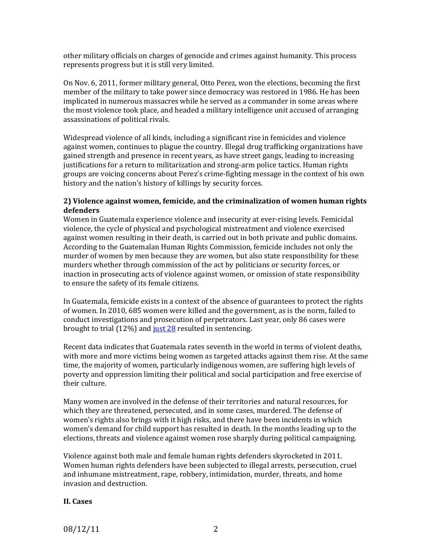other military officials on charges of genocide and crimes against humanity. This process represents progress but it is still very limited.

On Nov. 6, 2011, former military general, Otto Perez, won the elections, becoming the first member of the military to take power since democracy was restored in 1986. He has been implicated in numerous massacres while he served as a commander in some areas where the most violence took place, and headed a military intelligence unit accused of arranging assassinations of political rivals.

Widespread violence of all kinds, including a significant rise in femicides and violence against women, continues to plague the country. Illegal drug trafficking organizations have gained strength and presence in recent years, as have street gangs, leading to increasing justifications for a return to militarization and strong-arm police tactics. Human rights groups are voicing concerns about Perez's crime-fighting message in the context of his own history and the nation's history of killings by security forces.

#### **2) Violence against women, femicide, and the criminalization of women human rights defenders**

Women in Guatemala experience violence and insecurity at ever-rising levels. Femicidal violence, the cycle of physical and psychological mistreatment and violence exercised against women resulting in their death, is carried out in both private and public domains. According to the Guatemalan Human Rights Commission, femicide includes not only the murder of women by men because they are women, but also state responsibility for these murders whether through commission of the act by politicians or security forces, or inaction in prosecuting acts of violence against women, or omission of state responsibility to ensure the safety of its female citizens.

In Guatemala, femicide exists in a context of the absence of guarantees to protect the rights of women. In 2010, 685 women were killed and the government, as is the norm, failed to conduct investigations and prosecution of perpetrators. Last year, only 86 cases were brought to trial (12%) and just  $28$  resulted in sentencing.

Recent data indicates that Guatemala rates seventh in the world in terms of violent deaths, with more and more victims being women as targeted attacks against them rise. At the same time, the majority of women, particularly indigenous women, are suffering high levels of poverty and oppression limiting their political and social participation and free exercise of their culture.

Many women are involved in the defense of their territories and natural resources, for which they are threatened, persecuted, and in some cases, murdered. The defense of women's rights also brings with it high risks, and there have been incidents in which women's demand for child support has resulted in death. In the months leading up to the elections, threats and violence against women rose sharply during political campaigning.

Violence against both male and female human rights defenders skyrocketed in 2011. Women human rights defenders have been subjected to illegal arrests, persecution, cruel and inhumane mistreatment, rape, robbery, intimidation, murder, threats, and home invasion and destruction.

#### **II.** Cases

08/12/11 2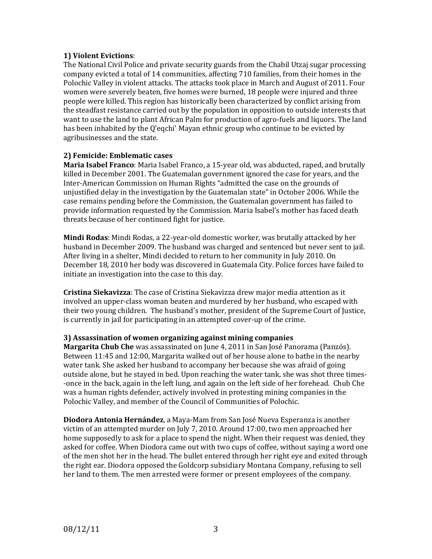#### **1) Violent Evictions:**

The National Civil Police and private security guards from the Chabil Utzaj sugar processing company evicted a total of 14 communities, affecting 710 families, from their homes in the Polochic Valley in violent attacks. The attacks took place in March and August of 2011. Four women were severely beaten, five homes were burned, 18 people were injured and three people were killed. This region has historically been characterized by conflict arising from the steadfast resistance carried out by the population in opposition to outside interests that want to use the land to plant African Palm for production of agro-fuels and liquors. The land has been inhabited by the Q'eqchi' Mayan ethnic group who continue to be evicted by agribusinesses and the state.

#### **2) Femicide: Emblematic cases**

**Maria Isabel Franco**: Maria Isabel Franco, a 15-year old, was abducted, raped, and brutally killed in December 2001. The Guatemalan government ignored the case for years, and the Inter-American Commission on Human Rights "admitted the case on the grounds of unjustified delay in the investigation by the Guatemalan state" in October 2006. While the case remains pending before the Commission, the Guatemalan government has failed to provide information requested by the Commission. Maria Isabel's mother has faced death threats because of her continued fight for justice.

**Mindi Rodas**: Mindi Rodas, a 22-year-old domestic worker, was brutally attacked by her husband in December 2009. The husband was charged and sentenced but never sent to jail. After living in a shelter, Mindi decided to return to her community in July 2010. On December 18, 2010 her body was discovered in Guatemala City. Police forces have failed to initiate an investigation into the case to this day.

**Cristina Siekavizza**: The case of Cristina Siekavizza drew major media attention as it involved an upper-class woman beaten and murdered by her husband, who escaped with their two young children. The husband's mother, president of the Supreme Court of Justice, is currently in jail for participating in an attempted cover-up of the crime.

#### **3) Assassination of women organizing against mining companies**

**Margarita Chub Che** was assassinated on June 4, 2011 in San José Panorama (Panzós). Between 11:45 and 12:00, Margarita walked out of her house alone to bathe in the nearby water tank. She asked her husband to accompany her because she was afraid of going outside alone, but he stayed in bed. Upon reaching the water tank, she was shot three times--once in the back, again in the left lung, and again on the left side of her forehead. Chub Che was a human rights defender, actively involved in protesting mining companies in the Polochic Valley, and member of the Council of Communities of Polochic.

**Diodora Antonia Hernández**, a Maya-Mam from San José Nueva Esperanza is another victim of an attempted murder on July 7, 2010. Around 17:00, two men approached her home supposedly to ask for a place to spend the night. When their request was denied, they asked for coffee. When Diodora came out with two cups of coffee, without saying a word one of the men shot her in the head. The bullet entered through her right eye and exited through the right ear. Diodora opposed the Goldcorp subsidiary Montana Company, refusing to sell her land to them. The men arrested were former or present employees of the company.